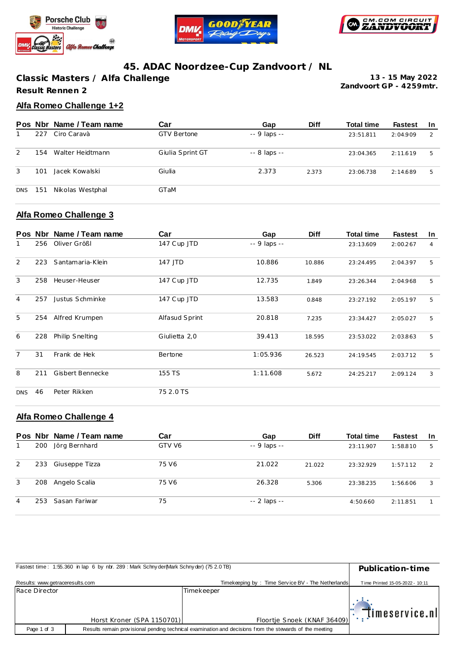





# **45. ADAC Noordzee-Cup Zandvoort / NL**

**Classic Masters / Alfa Challenge Result Rennen 2**

**Zandvoort GP - 4259mtr. 13 - 15 May 2022**

## **Alfa Romeo Challenge 1+2**

|            | Pos Nbr | Name / Team name | Car                | Gap           | <b>Diff</b> | <b>Total time</b> | <b>Fastest</b> | -In |
|------------|---------|------------------|--------------------|---------------|-------------|-------------------|----------------|-----|
|            | 227     | Ciro Caravà      | <b>GTV Bertone</b> | $-9$ laps $-$ |             | 23:51.811         | 2:04.909       | -2  |
| 2          | 154     | Walter Heidtmann | Giulia Sprint GT   | $-8$ laps $-$ |             | 23:04.365         | 2:11.619       | 5   |
| 3          | 101     | Jacek Kowalski   | Giulia             | 2.373         | 2.373       | 23:06.738         | 2:14.689       | 5   |
| <b>DNS</b> | 151     | Nikolas Westphal | GTaM               |               |             |                   |                |     |

#### **Alfa Romeo Challenge 3**

|                |     | Pos Nbr Name / Team name | Car            | Gap          | <b>Diff</b> | <b>Total time</b> | <b>Fastest</b> | <b>In</b>      |
|----------------|-----|--------------------------|----------------|--------------|-------------|-------------------|----------------|----------------|
| 1              | 256 | Oliver Größl             | 147 Cup JTD    | -- 9 laps -- |             | 23:13.609         | 2:00.267       | $\overline{4}$ |
| 2              | 223 | Santamaria-Klein         | 147 JTD        | 10.886       | 10.886      | 23:24.495         | 2:04.397       | 5              |
| 3              | 258 | Heuser-Heuser            | 147 Cup JTD    | 12.735       | 1.849       | 23:26.344         | 2:04.968       | 5              |
| $\overline{4}$ | 257 | Justus Schminke          | 147 Cup JTD    | 13.583       | 0.848       | 23:27.192         | 2:05.197       | 5              |
| 5              | 254 | Alfred Krumpen           | Alfasud Sprint | 20.818       | 7.235       | 23:34.427         | 2:05.027       | 5              |
| 6              | 228 | Philip Snelting          | Giulietta 2,0  | 39.413       | 18.595      | 23:53.022         | 2:03.863       | 5              |
| $\overline{7}$ | 31  | Frank de Hek             | Bertone        | 1:05.936     | 26.523      | 24:19.545         | 2:03.712       | 5              |
| 8              | 211 | Gisbert Bennecke         | 155 TS         | 1:11.608     | 5.672       | 24:25.217         | 2:09.124       | 3              |
| <b>DNS</b>     | 46  | Peter Rikken             | 75 2.0 TS      |              |             |                   |                |                |

## **Alfa Romeo Challenge 4**

|   |     | Pos Nbr Name / Team name | Car    | Gap           | <b>Diff</b> | <b>Total time</b> | <b>Fastest</b> | -In |
|---|-----|--------------------------|--------|---------------|-------------|-------------------|----------------|-----|
|   | 200 | Jörg Bernhard            | GTV V6 | $-9$ laps $-$ |             | 23:11.907         | 1:58.810       | 5   |
| 2 | 233 | Giuseppe Tizza           | 75 V6  | 21.022        | 21.022      | 23:32.929         | 1:57.112       | 2   |
| 3 | 208 | Angelo Scalia            | 75 V6  | 26.328        | 5.306       | 23:38.235         | 1:56.606       | 3   |
| 4 | 253 | Sasan Fariwar            | 75     | $-2$ laps $-$ |             | 4:50.660          | 2:11.851       |     |

|                                 | Fastest time: 1:55.360 in lap 6 by nbr. 289 : Mark Schnyder(Mark Schnyder) (75 2.0 TB) |                                                                                                         | Publication-time                |
|---------------------------------|----------------------------------------------------------------------------------------|---------------------------------------------------------------------------------------------------------|---------------------------------|
| Results: www.getraceresults.com |                                                                                        | Timekeeping by: Time Service BV - The Netherlands                                                       | Time Printed 15-05-2022 - 10:11 |
| Race Director                   |                                                                                        | Timekeeper                                                                                              |                                 |
|                                 |                                                                                        |                                                                                                         | $  \cdot  $ imeservice.nl       |
|                                 | Horst Kroner (SPA 1150701)                                                             | Floortje Snoek (KNAF 36409)                                                                             |                                 |
| Page 1 of 3                     |                                                                                        | Results remain provisional pending technical examination and decisions from the stewards of the meeting |                                 |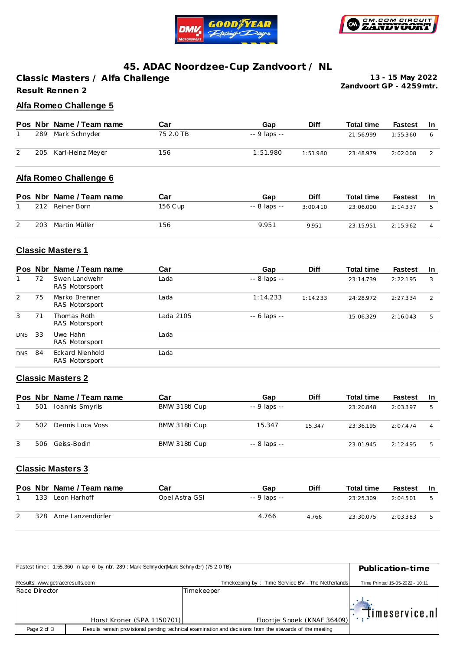



## **45. ADAC Noordzee-Cup Zandvoort / NL**

**Classic Masters / Alfa Challenge Result Rennen 2**

**Zandvoort GP - 4259mtr. 13 - 15 May 2022**

### **Alfa Romeo Challenge 5**

|     | Pos Nbr Name / Team name | Car       | Gap          | <b>Diff</b> | <b>Total time</b> | Fastest  | -In |
|-----|--------------------------|-----------|--------------|-------------|-------------------|----------|-----|
| 289 | Mark Schnyder            | 75 2.0 TB | -- 9 laps -- |             | 21:56.999         | 1:55.360 |     |
|     | 205 Karl-Heinz Meyer     | 156       | 1:51.980     | 1:51.980    | 23:48.979         | 2:02.008 |     |

#### **Alfa Romeo Challenge 6**

|     | Pos Nbr Name / Team name | Car     | Gap          | <b>Diff</b> | <b>Total time</b> | <b>Fastest</b> | -In |
|-----|--------------------------|---------|--------------|-------------|-------------------|----------------|-----|
| 212 | Reiner Born              | 156 Cup | -- 8 laps -- | 3:00.410    | 23:06.000         | 2:14.337       |     |
| 203 | Martin Müller            | 156     | 9.951        | 9.951       | 23:15.951         | 2:15.962       |     |

## **Classic Masters 1**

|            | Pos Nbr | Name / Team name                  | Car       | Gap                | <b>Diff</b> | <b>Total time</b> | <b>Fastest</b> | <b>In</b> |
|------------|---------|-----------------------------------|-----------|--------------------|-------------|-------------------|----------------|-----------|
|            | 72      | Swen Landwehr<br>RAS Motorsport   | Lada      | $-8$ laps $-$      |             | 23:14.739         | 2:22.195       | 3         |
| 2          | 75      | Marko Brenner<br>RAS Motorsport   | Lada      | 1:14.233           | 1:14.233    | 24:28.972         | 2:27.334       | 2         |
| 3          | 71      | Thomas Roth<br>RAS Motorsport     | Lada 2105 | $- - 6$ laps $- -$ |             | 15:06.329         | 2:16.043       | 5         |
| <b>DNS</b> | -33     | Uwe Hahn<br>RAS Motorsport        | Lada      |                    |             |                   |                |           |
| <b>DNS</b> | -84     | Eckard Nienhold<br>RAS Motorsport | Lada      |                    |             |                   |                |           |

#### **Classic Masters 2**

|   |     | Pos Nbr Name / Team name | Car           | Gap           | <b>Diff</b> | <b>Total time</b> | <b>Fastest</b> | -In |
|---|-----|--------------------------|---------------|---------------|-------------|-------------------|----------------|-----|
|   | 501 | Ioannis Smyrlis          | BMW 318ti Cup | $-9$ laps $-$ |             | 23:20.848         | 2:03.397       |     |
| 2 | 502 | Dennis Luca Voss         | BMW 318ti Cup | 15.347        | 15.347      | 23:36.195         | 2:07.474       | 4   |
|   | 506 | Geiss-Bodin              | BMW 318ti Cup | $-8$ laps $-$ |             | 23:01.945         | 2:12.495       | 5   |

### **Classic Masters 3**

|     | Pos Nbr Name / Team name | Car            | Gap          | <b>Diff</b> | <b>Total time</b> | Fastest  | - In |
|-----|--------------------------|----------------|--------------|-------------|-------------------|----------|------|
| 133 | Leon Harhoff             | Opel Astra GSI | -- 9 laps -- |             | 23:25.309         | 2:04.501 |      |
| 328 | Arne Lanzendörfer        |                | 4.766        | 4.766       | 23:30.075         | 2:03.383 |      |

|                                 | Fastest time: 1:55.360 in lap 6 by nbr. 289: Mark Schny der (Mark Schny der) (75 2.0 TB) |                                                                                                         | Publication-time                |
|---------------------------------|------------------------------------------------------------------------------------------|---------------------------------------------------------------------------------------------------------|---------------------------------|
| Results: www.getraceresults.com |                                                                                          | Timekeeping by: Time Service BV - The Netherlands                                                       | Time Printed 15-05-2022 - 10:11 |
| Race Director                   |                                                                                          | Timekeeper                                                                                              |                                 |
|                                 |                                                                                          |                                                                                                         | $\mathbb{R}$ . Timeservice.nl   |
|                                 | Horst Kroner (SPA 1150701)                                                               | Floortje Snoek (KNAF 36409)                                                                             |                                 |
| Page 2 of 3                     |                                                                                          | Results remain provisional pending technical examination and decisions from the stewards of the meeting |                                 |